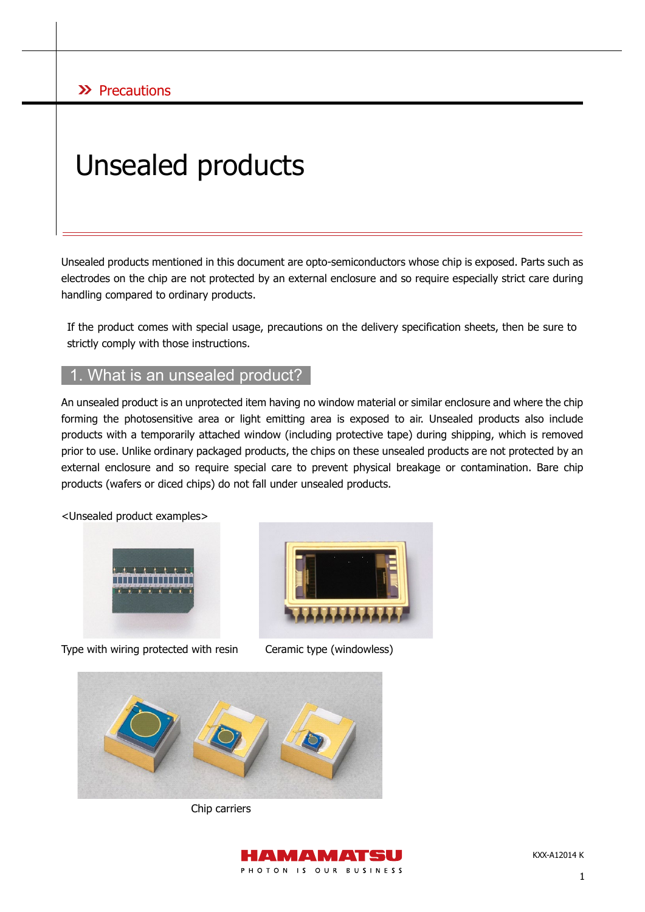## $\lambda$  Precautions

# Unsealed products

Unsealed products mentioned in this document are opto-semiconductors whose chip is exposed. Parts such as electrodes on the chip are not protected by an external enclosure and so require especially strict care during handling compared to ordinary products.

If the product comes with special usage, precautions on the delivery specification sheets, then be sure to strictly comply with those instructions.

### What is an unsealed product?

An unsealed product is an unprotected item having no window material or similar enclosure and where the chip forming the photosensitive area or light emitting area is exposed to air. Unsealed products also include products with a temporarily attached window (including protective tape) during shipping, which is removed prior to use. Unlike ordinary packaged products, the chips on these unsealed products are not protected by an external enclosure and so require special care to prevent physical breakage or contamination. Bare chip products (wafers or diced chips) do not fall under unsealed products.

<Unsealed product examples>



Type with wiring protected with resin Ceramic type (windowless)





Chip carriers

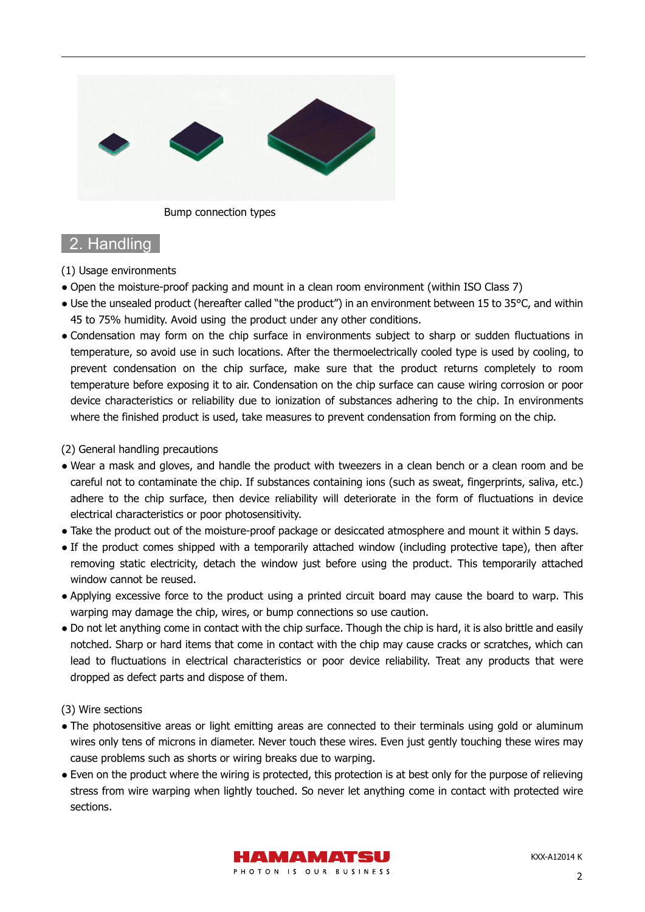

Bump connection types

## 2. Handling

(1) Usage environments

- Open the moisture-proof packing and mount in a clean room environment (within ISO Class 7)
- Use the unsealed product (hereafter called "the product") in an environment between 15 to 35°C, and within 45 to 75% humidity. Avoid using the product under any other conditions.
- Condensation may form on the chip surface in environments subject to sharp or sudden fluctuations in temperature, so avoid use in such locations. After the thermoelectrically cooled type is used by cooling, to prevent condensation on the chip surface, make sure that the product returns completely to room temperature before exposing it to air. Condensation on the chip surface can cause wiring corrosion or poor device characteristics or reliability due to ionization of substances adhering to the chip. In environments where the finished product is used, take measures to prevent condensation from forming on the chip.

(2) General handling precautions

- Wear a mask and gloves, and handle the product with tweezers in a clean bench or a clean room and be careful not to contaminate the chip. If substances containing ions (such as sweat, fingerprints, saliva, etc.) adhere to the chip surface, then device reliability will deteriorate in the form of fluctuations in device electrical characteristics or poor photosensitivity.
- Take the product out of the moisture-proof package or desiccated atmosphere and mount it within 5 days.
- If the product comes shipped with a temporarily attached window (including protective tape), then after removing static electricity, detach the window just before using the product. This temporarily attached window cannot be reused.
- Applying excessive force to the product using a printed circuit board may cause the board to warp. This warping may damage the chip, wires, or bump connections so use caution.
- Do not let anything come in contact with the chip surface. Though the chip is hard, it is also brittle and easily notched. Sharp or hard items that come in contact with the chip may cause cracks or scratches, which can lead to fluctuations in electrical characteristics or poor device reliability. Treat any products that were dropped as defect parts and dispose of them.

(3) Wire sections

- The photosensitive areas or light emitting areas are connected to their terminals using gold or aluminum wires only tens of microns in diameter. Never touch these wires. Even just gently touching these wires may cause problems such as shorts or wiring breaks due to warping.
- Even on the product where the wiring is protected, this protection is at best only for the purpose of relieving stress from wire warping when lightly touched. So never let anything come in contact with protected wire sections.

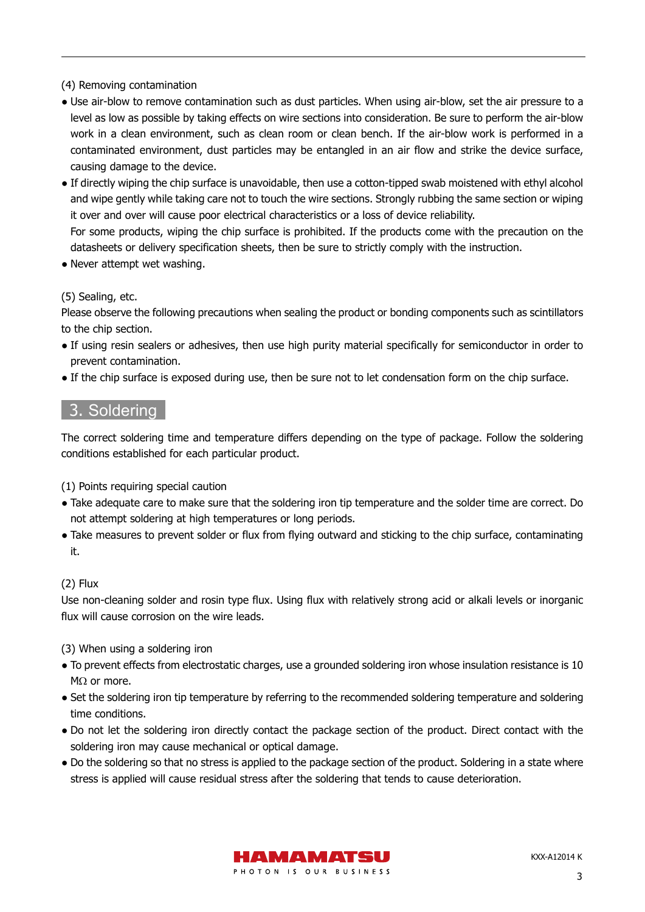(4) Removing contamination

- Use air-blow to remove contamination such as dust particles. When using air-blow, set the air pressure to a level as low as possible by taking effects on wire sections into consideration. Be sure to perform the air-blow work in a clean environment, such as clean room or clean bench. If the air-blow work is performed in a contaminated environment, dust particles may be entangled in an air flow and strike the device surface, causing damage to the device.
- If directly wiping the chip surface is unavoidable, then use a cotton-tipped swab moistened with ethyl alcohol and wipe gently while taking care not to touch the wire sections. Strongly rubbing the same section or wiping it over and over will cause poor electrical characteristics or a loss of device reliability. For some products, wiping the chip surface is prohibited. If the products come with the precaution on the

datasheets or delivery specification sheets, then be sure to strictly comply with the instruction.

• Never attempt wet washing.

(5) Sealing, etc.

Please observe the following precautions when sealing the product or bonding components such as scintillators to the chip section.

- If using resin sealers or adhesives, then use high purity material specifically for semiconductor in order to prevent contamination.
- If the chip surface is exposed during use, then be sure not to let condensation form on the chip surface.

## 3. Soldering

The correct soldering time and temperature differs depending on the type of package. Follow the soldering conditions established for each particular product.

- (1) Points requiring special caution
- Take adequate care to make sure that the soldering iron tip temperature and the solder time are correct. Do not attempt soldering at high temperatures or long periods.
- Take measures to prevent solder or flux from flying outward and sticking to the chip surface, contaminating it.

#### (2) Flux

Use non-cleaning solder and rosin type flux. Using flux with relatively strong acid or alkali levels or inorganic flux will cause corrosion on the wire leads.

(3) When using a soldering iron

- To prevent effects from electrostatic charges, use a grounded soldering iron whose insulation resistance is 10 MΩ or more.
- Set the soldering iron tip temperature by referring to the recommended soldering temperature and soldering time conditions.
- Do not let the soldering iron directly contact the package section of the product. Direct contact with the soldering iron may cause mechanical or optical damage.
- Do the soldering so that no stress is applied to the package section of the product. Soldering in a state where stress is applied will cause residual stress after the soldering that tends to cause deterioration.

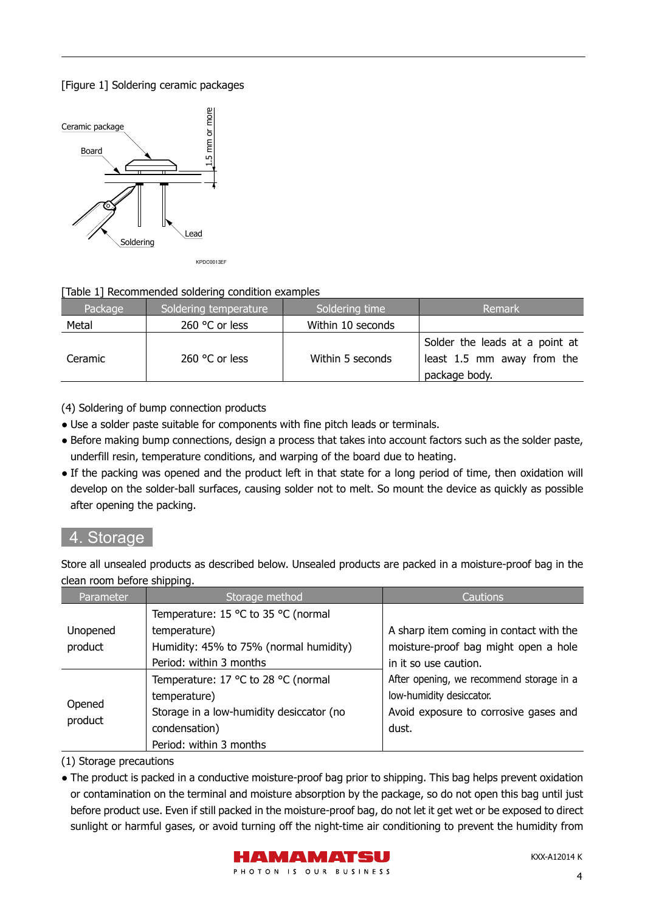#### [Figure 1] Soldering ceramic packages



#### [Table 1] Recommended soldering condition examples

| Package | Soldering temperature   | Soldering time    | Remark                                                                        |
|---------|-------------------------|-------------------|-------------------------------------------------------------------------------|
| Metal   | 260 °C or less          | Within 10 seconds |                                                                               |
| Ceramic | 260 $\degree$ C or less | Within 5 seconds  | Solder the leads at a point at<br>least 1.5 mm away from the<br>package body. |

(4) Soldering of bump connection products

- Use a solder paste suitable for components with fine pitch leads or terminals.
- Before making bump connections, design a process that takes into account factors such as the solder paste, underfill resin, temperature conditions, and warping of the board due to heating.
- If the packing was opened and the product left in that state for a long period of time, then oxidation will develop on the solder-ball surfaces, causing solder not to melt. So mount the device as quickly as possible after opening the packing.

## 4. Storage

Store all unsealed products as described below. Unsealed products are packed in a moisture-proof bag in the clean room before shipping.

| Parameter         | Storage method                           | Cautions                                 |
|-------------------|------------------------------------------|------------------------------------------|
|                   | Temperature: 15 °C to 35 °C (normal      |                                          |
| Unopened          | temperature)                             | A sharp item coming in contact with the  |
| product           | Humidity: 45% to 75% (normal humidity)   | moisture-proof bag might open a hole     |
|                   | Period: within 3 months                  | in it so use caution.                    |
| Opened<br>product | Temperature: 17 °C to 28 °C (normal      | After opening, we recommend storage in a |
|                   | temperature)                             | low-humidity desiccator.                 |
|                   | Storage in a low-humidity desiccator (no | Avoid exposure to corrosive gases and    |
|                   | condensation)                            | dust.                                    |
|                   | Period: within 3 months                  |                                          |

(1) Storage precautions

● The product is packed in a conductive moisture-proof bag prior to shipping. This bag helps prevent oxidation or contamination on the terminal and moisture absorption by the package, so do not open this bag until just before product use. Even if still packed in the moisture-proof bag, do not let it get wet or be exposed to direct sunlight or harmful gases, or avoid turning off the night-time air conditioning to prevent the humidity from

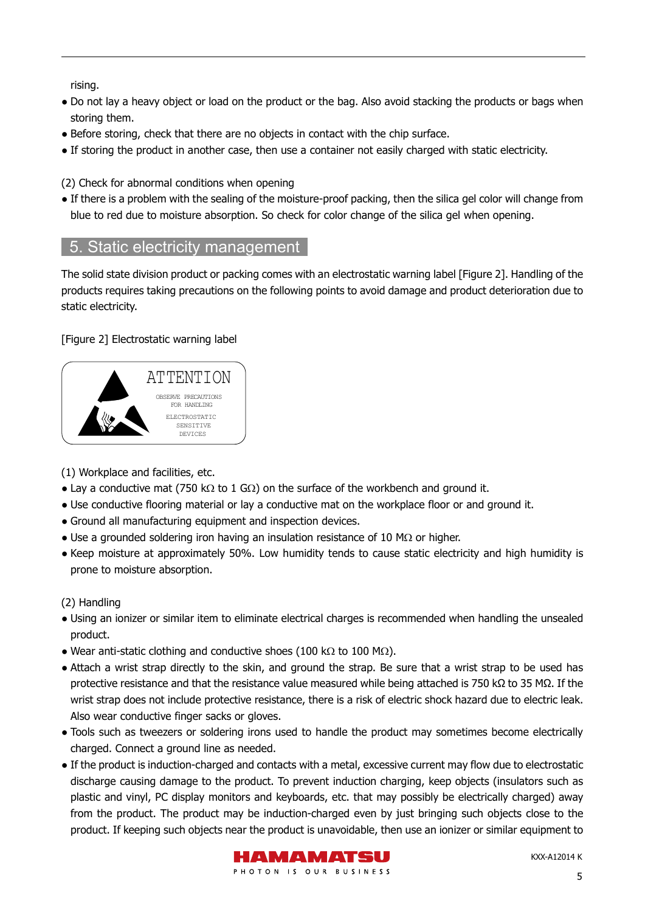rising.

- Do not lay a heavy object or load on the product or the bag. Also avoid stacking the products or bags when storing them.
- Before storing, check that there are no objects in contact with the chip surface.
- If storing the product in another case, then use a container not easily charged with static electricity.

(2) Check for abnormal conditions when opening

• If there is a problem with the sealing of the moisture-proof packing, then the silica gel color will change from blue to red due to moisture absorption. So check for color change of the silica gel when opening.

## 5. Static electricity management

The solid state division product or packing comes with an electrostatic warning label [Figure 2]. Handling of the products requires taking precautions on the following points to avoid damage and product deterioration due to static electricity.

#### [Figure 2] Electrostatic warning label



(1) Workplace and facilities, etc.

- Lay a conductive mat (750 kΩ to 1 GΩ) on the surface of the workbench and ground it.
- Use conductive flooring material or lay a conductive mat on the workplace floor or and ground it.
- Ground all manufacturing equipment and inspection devices.
- $\bullet$  Use a grounded soldering iron having an insulation resistance of 10 MΩ or higher.
- Keep moisture at approximately 50%. Low humidity tends to cause static electricity and high humidity is prone to moisture absorption.

#### (2) Handling

- Using an ionizer or similar item to eliminate electrical charges is recommended when handling the unsealed product.
- Wear anti-static clothing and conductive shoes (100 k $\Omega$  to 100 M $\Omega$ ).
- Attach a wrist strap directly to the skin, and ground the strap. Be sure that a wrist strap to be used has protective resistance and that the resistance value measured while being attached is 750 kΩ to 35 MΩ. If the wrist strap does not include protective resistance, there is a risk of electric shock hazard due to electric leak. Also wear conductive finger sacks or gloves.
- Tools such as tweezers or soldering irons used to handle the product may sometimes become electrically charged. Connect a ground line as needed.
- If the product is induction-charged and contacts with a metal, excessive current may flow due to electrostatic discharge causing damage to the product. To prevent induction charging, keep objects (insulators such as plastic and vinyl, PC display monitors and keyboards, etc. that may possibly be electrically charged) away from the product. The product may be induction-charged even by just bringing such objects close to the product. If keeping such objects near the product is unavoidable, then use an ionizer or similar equipment to

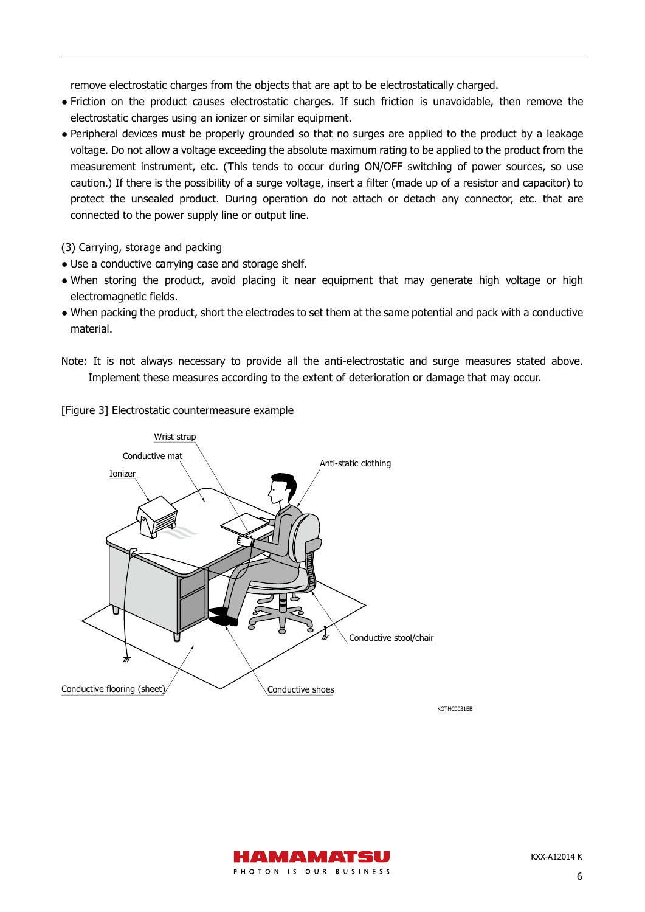remove electrostatic charges from the objects that are apt to be electrostatically charged.

- Friction on the product causes electrostatic charges. If such friction is unavoidable, then remove the electrostatic charges using an ionizer or similar equipment.
- Peripheral devices must be properly grounded so that no surges are applied to the product by a leakage voltage. Do not allow a voltage exceeding the absolute maximum rating to be applied to the product from the measurement instrument, etc. (This tends to occur during ON/OFF switching of power sources, so use caution.) If there is the possibility of a surge voltage, insert a filter (made up of a resistor and capacitor) to protect the unsealed product. During operation do not attach or detach any connector, etc. that are connected to the power supply line or output line.
- (3) Carrying, storage and packing
- Use a conductive carrying case and storage shelf.
- When storing the product, avoid placing it near equipment that may generate high voltage or high electromagnetic fields.
- When packing the product, short the electrodes to set them at the same potential and pack with a conductive material.
- Note: It is not always necessary to provide all the anti-electrostatic and surge measures stated above. Implement these measures according to the extent of deterioration or damage that may occur.

[Figure 3] Electrostatic countermeasure example



KOTHC0031EB